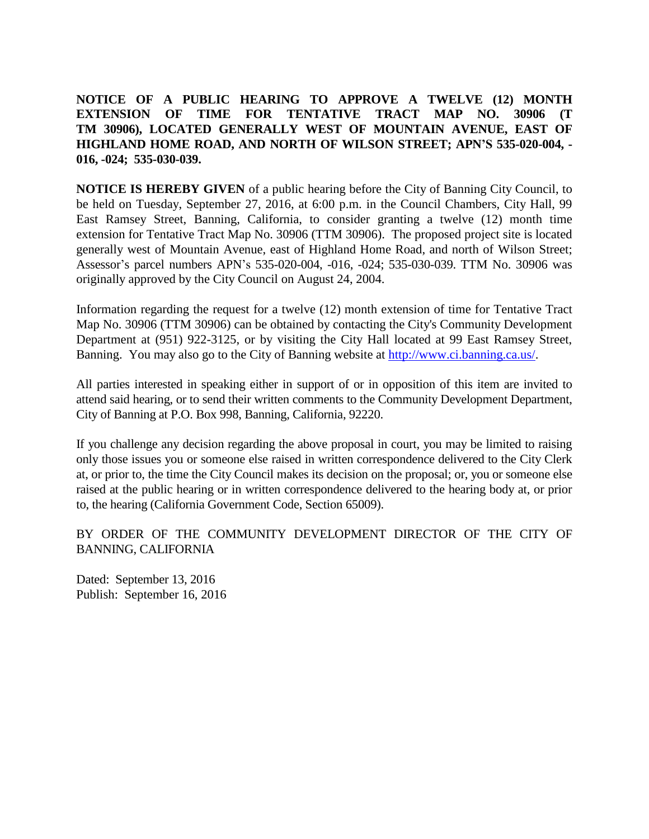**NOTICE OF A PUBLIC HEARING TO APPROVE A TWELVE (12) MONTH EXTENSION OF TIME FOR TENTATIVE TRACT MAP NO. 30906 (T TM 30906), LOCATED GENERALLY WEST OF MOUNTAIN AVENUE, EAST OF HIGHLAND HOME ROAD, AND NORTH OF WILSON STREET; APN'S 535-020-004, - 016, -024; 535-030-039.**

**NOTICE IS HEREBY GIVEN** of a public hearing before the City of Banning City Council, to be held on Tuesday, September 27, 2016, at 6:00 p.m. in the Council Chambers, City Hall, 99 East Ramsey Street, Banning, California, to consider granting a twelve (12) month time extension for Tentative Tract Map No. 30906 (TTM 30906). The proposed project site is located generally west of Mountain Avenue, east of Highland Home Road, and north of Wilson Street; Assessor's parcel numbers APN's 535-020-004, -016, -024; 535-030-039. TTM No. 30906 was originally approved by the City Council on August 24, 2004.

Information regarding the request for a twelve (12) month extension of time for Tentative Tract Map No. 30906 (TTM 30906) can be obtained by contacting the City's Community Development Department at (951) 922-3125, or by visiting the City Hall located at 99 East Ramsey Street, Banning. You may also go to the City of Banning website at [http://www.ci.banning.ca.us/.](http://www.ci.banning.ca.us/)

All parties interested in speaking either in support of or in opposition of this item are invited to attend said hearing, or to send their written comments to the Community Development Department, City of Banning at P.O. Box 998, Banning, California, 92220.

If you challenge any decision regarding the above proposal in court, you may be limited to raising only those issues you or someone else raised in written correspondence delivered to the City Clerk at, or prior to, the time the City Council makes its decision on the proposal; or, you or someone else raised at the public hearing or in written correspondence delivered to the hearing body at, or prior to, the hearing (California Government Code, Section 65009).

BY ORDER OF THE COMMUNITY DEVELOPMENT DIRECTOR OF THE CITY OF BANNING, CALIFORNIA

Dated: September 13, 2016 Publish: September 16, 2016